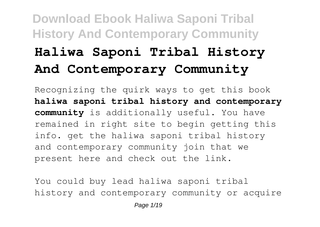# **Download Ebook Haliwa Saponi Tribal History And Contemporary Community Haliwa Saponi Tribal History And Contemporary Community**

Recognizing the quirk ways to get this book **haliwa saponi tribal history and contemporary community** is additionally useful. You have remained in right site to begin getting this info. get the haliwa saponi tribal history and contemporary community join that we present here and check out the link.

You could buy lead haliwa saponi tribal history and contemporary community or acquire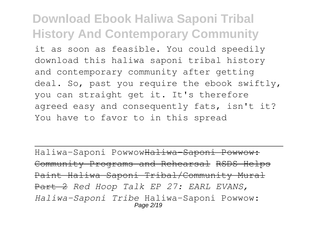it as soon as feasible. You could speedily download this haliwa saponi tribal history and contemporary community after getting deal. So, past you require the ebook swiftly, you can straight get it. It's therefore agreed easy and consequently fats, isn't it? You have to favor to in this spread

Haliwa-Saponi PowwowHaliwa-Saponi Powwow: Community Programs and Rehearsal RSDS Helps Paint Haliwa Saponi Tribal/Community Mural Part 2 *Red Hoop Talk EP 27: EARL EVANS, Haliwa-Saponi Tribe* Haliwa-Saponi Powwow: Page 2/19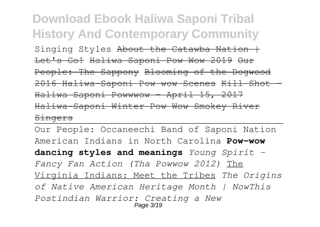#### **Download Ebook Haliwa Saponi Tribal History And Contemporary Community** Singing Styles About the Catawba Nation  $+$ Let's Go! Haliwa Saponi Pow Wow 2019 Our People: The Sappony Blooming of the Dogwood 2016 Haliwa-Saponi Pow wow Scenes Kill Shot - Haliwa Saponi Powwwow - April 15, 2017 Haliwa-Saponi Winter Pow Wow Smokey River Singers

Our People: Occaneechi Band of Saponi Nation American Indians in North Carolina **Pow-wow dancing styles and meanings** *Young Spirit - Fancy Fan Action (Tha Powwow 2012)* The Virginia Indians: Meet the Tribes *The Origins of Native American Heritage Month | NowThis Postindian Warrior: Creating a New* Page 3/19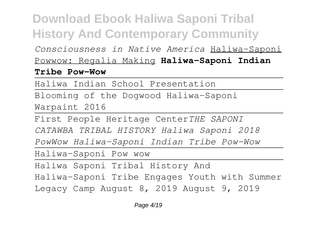*Consciousness in Native America* Haliwa-Saponi Powwow: Regalia Making **Haliwa-Saponi Indian**

#### **Tribe Pow-Wow**

Haliwa Indian School Presentation

Blooming of the Dogwood Haliwa-Saponi Warpaint 2016

First People Heritage Center*THE SAPONI*

*CATAWBA TRIBAL HISTORY Haliwa Saponi 2018*

*PowWow Haliwa-Saponi Indian Tribe Pow-Wow*

Haliwa-Saponi Pow wow

Haliwa Saponi Tribal History And

Haliwa-Saponi Tribe Engages Youth with Summer

Legacy Camp August 8, 2019 August 9, 2019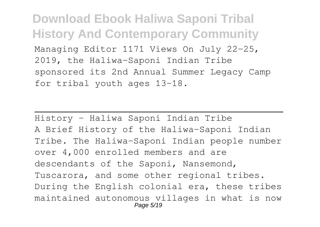**Download Ebook Haliwa Saponi Tribal History And Contemporary Community** Managing Editor 1171 Views On July 22-25, 2019, the Haliwa-Saponi Indian Tribe sponsored its 2nd Annual Summer Legacy Camp for tribal youth ages 13-18.

History – Haliwa Saponi Indian Tribe A Brief History of the Haliwa-Saponi Indian Tribe. The Haliwa-Saponi Indian people number over 4,000 enrolled members and are descendants of the Saponi, Nansemond, Tuscarora, and some other regional tribes. During the English colonial era, these tribes maintained autonomous villages in what is now Page 5/19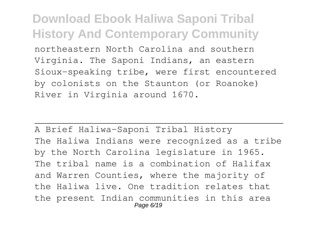northeastern North Carolina and southern Virginia. The Saponi Indians, an eastern Sioux-speaking tribe, were first encountered by colonists on the Staunton (or Roanoke) River in Virginia around 1670.

A Brief Haliwa-Saponi Tribal History The Haliwa Indians were recognized as a tribe by the North Carolina legislature in 1965. The tribal name is a combination of Halifax and Warren Counties, where the majority of the Haliwa live. One tradition relates that the present Indian communities in this area Page 6/19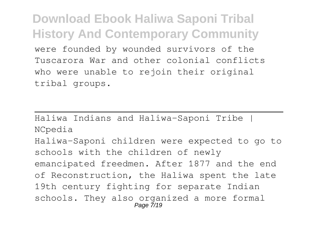**Download Ebook Haliwa Saponi Tribal History And Contemporary Community** were founded by wounded survivors of the Tuscarora War and other colonial conflicts who were unable to rejoin their original tribal groups.

Haliwa Indians and Haliwa-Saponi Tribe | NCpedia Haliwa-Saponi children were expected to go to schools with the children of newly emancipated freedmen. After 1877 and the end of Reconstruction, the Haliwa spent the late 19th century fighting for separate Indian schools. They also organized a more formal Page 7/19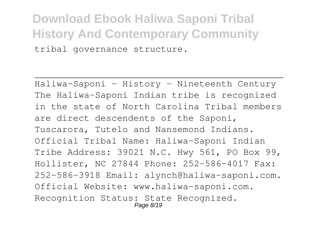#### **Download Ebook Haliwa Saponi Tribal History And Contemporary Community** tribal governance structure.

Haliwa-Saponi - History - Nineteenth Century The Haliwa-Saponi Indian tribe is recognized in the state of North Carolina Tribal members are direct descendents of the Saponi, Tuscarora, Tutelo and Nansemond Indians. Official Tribal Name: Haliwa-Saponi Indian Tribe Address: 39021 N.C. Hwy 561, PO Box 99, Hollister, NC 27844 Phone: 252-586-4017 Fax: 252-586-3918 Email: alynch@haliwa-saponi.com. Official Website: www.haliwa-saponi.com. Recognition Status: State Recognized. Page 8/19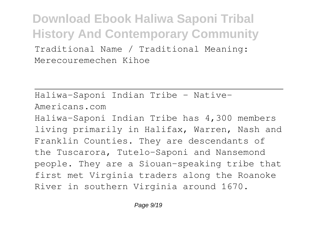**Download Ebook Haliwa Saponi Tribal History And Contemporary Community** Traditional Name / Traditional Meaning:

Merecouremechen Kihoe

Haliwa-Saponi Indian Tribe - Native-Americans.com Haliwa-Saponi Indian Tribe has 4,300 members living primarily in Halifax, Warren, Nash and Franklin Counties. They are descendants of the Tuscarora, Tutelo-Saponi and Nansemond people. They are a Siouan-speaking tribe that first met Virginia traders along the Roanoke River in southern Virginia around 1670.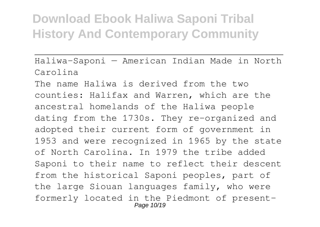Haliwa-Saponi — American Indian Made in North Carolina

The name Haliwa is derived from the two counties: Halifax and Warren, which are the ancestral homelands of the Haliwa people dating from the 1730s. They re-organized and adopted their current form of government in 1953 and were recognized in 1965 by the state of North Carolina. In 1979 the tribe added Saponi to their name to reflect their descent from the historical Saponi peoples, part of the large Siouan languages family, who were formerly located in the Piedmont of present-Page 10/19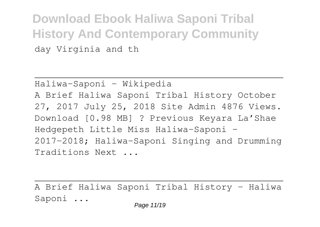**Download Ebook Haliwa Saponi Tribal History And Contemporary Community** day Virginia and th

Haliwa-Saponi - Wikipedia A Brief Haliwa Saponi Tribal History October 27, 2017 July 25, 2018 Site Admin 4876 Views. Download [0.98 MB] ? Previous Keyara La'Shae Hedgepeth Little Miss Haliwa-Saponi – 2017-2018; Haliwa-Saponi Singing and Drumming Traditions Next ...

A Brief Haliwa Saponi Tribal History – Haliwa Saponi ...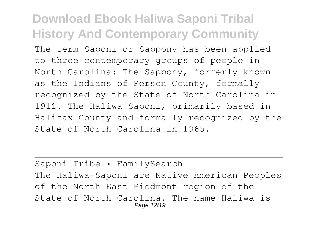The term Saponi or Sappony has been applied to three contemporary groups of people in North Carolina: The Sappony, formerly known as the Indians of Person County, formally recognized by the State of North Carolina in 1911. The Haliwa-Saponi, primarily based in Halifax County and formally recognized by the State of North Carolina in 1965.

Saponi Tribe • FamilySearch The Haliwa-Saponi are Native American Peoples of the North East Piedmont region of the State of North Carolina. The name Haliwa is Page 12/19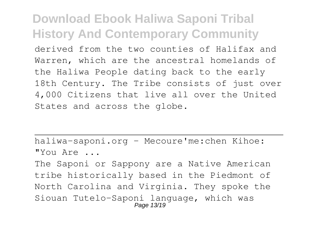derived from the two counties of Halifax and Warren, which are the ancestral homelands of the Haliwa People dating back to the early 18th Century. The Tribe consists of just over 4,000 Citizens that live all over the United States and across the globe.

haliwa-saponi.org - Mecoure'me:chen Kihoe: "You Are ...

The Saponi or Sappony are a Native American tribe historically based in the Piedmont of North Carolina and Virginia. They spoke the Siouan Tutelo-Saponi language, which was Page 13/19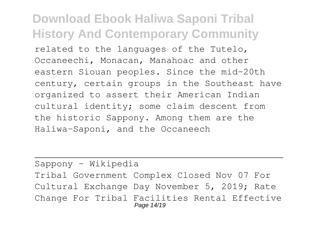related to the languages of the Tutelo, Occaneechi, Monacan, Manahoac and other eastern Siouan peoples. Since the mid-20th century, certain groups in the Southeast have organized to assert their American Indian cultural identity; some claim descent from the historic Sappony. Among them are the Haliwa-Saponi, and the Occaneech

Sappony - Wikipedia Tribal Government Complex Closed Nov 07 For Cultural Exchange Day November 5, 2019; Rate Change For Tribal Facilities Rental Effective Page 14/19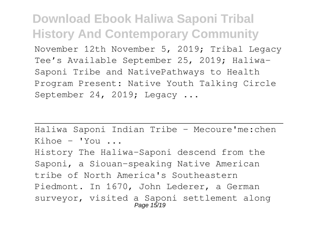**Download Ebook Haliwa Saponi Tribal History And Contemporary Community** November 12th November 5, 2019; Tribal Legacy Tee's Available September 25, 2019; Haliwa-Saponi Tribe and NativePathways to Health Program Present: Native Youth Talking Circle September 24, 2019; Legacy ...

Haliwa Saponi Indian Tribe – Mecoure'me:chen  $Kihoe - You \dots$ History The Haliwa-Saponi descend from the Saponi, a Siouan-speaking Native American tribe of North America's Southeastern Piedmont. In 1670, John Lederer, a German surveyor, visited a Saponi settlement along Page 15/19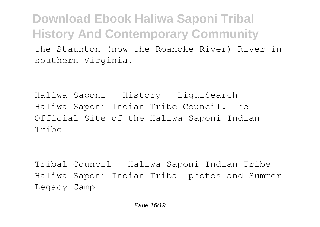the Staunton (now the Roanoke River) River in southern Virginia.

Haliwa-Saponi - History - LiquiSearch Haliwa Saponi Indian Tribe Council. The Official Site of the Haliwa Saponi Indian Tribe

Tribal Council - Haliwa Saponi Indian Tribe Haliwa Saponi Indian Tribal photos and Summer Legacy Camp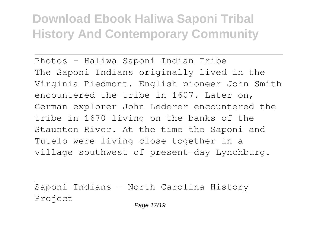Photos - Haliwa Saponi Indian Tribe The Saponi Indians originally lived in the Virginia Piedmont. English pioneer John Smith encountered the tribe in 1607. Later on, German explorer John Lederer encountered the tribe in 1670 living on the banks of the Staunton River. At the time the Saponi and Tutelo were living close together in a village southwest of present-day Lynchburg.

Saponi Indians - North Carolina History Project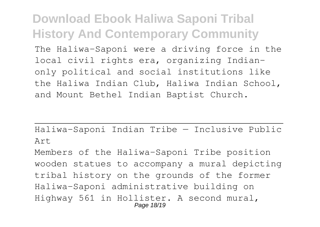The Haliwa-Saponi were a driving force in the local civil rights era, organizing Indianonly political and social institutions like the Haliwa Indian Club, Haliwa Indian School, and Mount Bethel Indian Baptist Church.

Haliwa-Saponi Indian Tribe — Inclusive Public Art

Members of the Haliwa-Saponi Tribe position wooden statues to accompany a mural depicting tribal history on the grounds of the former Haliwa-Saponi administrative building on Highway 561 in Hollister. A second mural, Page 18/19